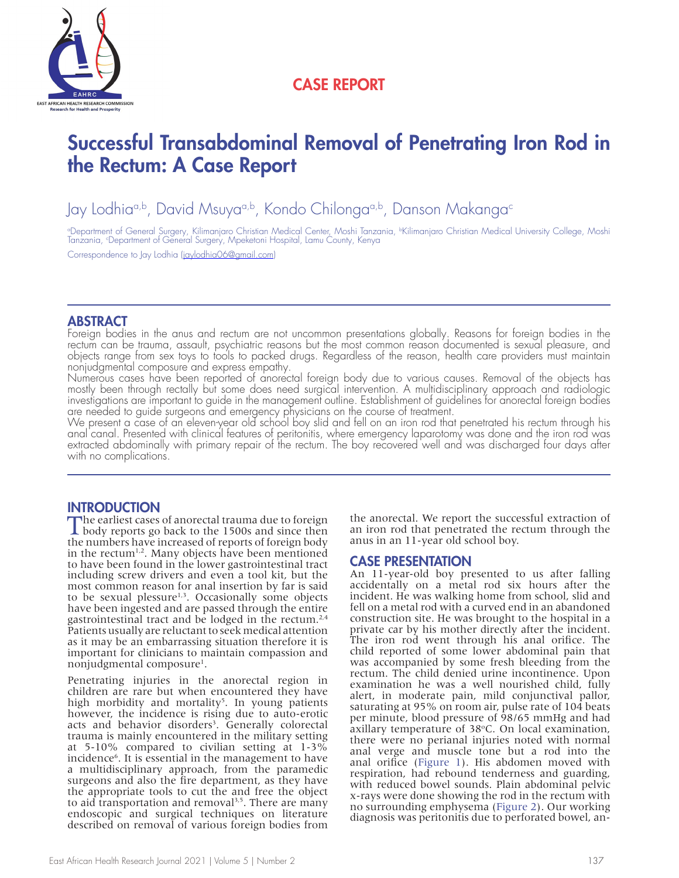

## CASE REPORT

# Successful Transabdominal Removal of Penetrating Iron Rod in the Rectum: A Case Report

Jay Lodhia<sup>a,b</sup>, David Msuya<sup>a,b</sup>, Kondo Chilonga<sup>a,b</sup>, Danson Makanga<sup>c</sup>

°Department of General Surgery, Kilimanjaro Christian Medical Center, Moshi Tanzania, <sup>ь</sup>Kilimanjaro Christian Medical University College, Moshi<br>Tanzania, °Department of General Surgery, Mpeketoni Hospital, Lamu County, Ke

Correspondence to Jay Lodhia (jaylodhia06@gmail.com)

### **ABSTRACT**

Foreign bodies in the anus and rectum are not uncommon presentations globally. Reasons for foreign bodies in the rectum can be trauma, assault, psychiatric reasons but the most common reason documented is sexual pleasure, and objects range from sex toys to tools to packed drugs. Regardless of the reason, health care providers must maintain nonjudgmental composure and express empathy.

Numerous cases have been reported of anorectal foreign body due to various causes. Removal of the objects has mostly been through rectally but some does need surgical intervention. A multidisciplinary approach and radiologic investigations are important to guide in the management outline. Establishment of guidelines for anorectal foreign bodies are needed to guide surgeons and emergency physicians on the course of treatment.

We present a case of an eleven-year old school boy slid and fell on an iron rod that penetrated his rectum through his anal canal. Presented with clinical features of peritonitis, where emergency laparotomy was done and the iron rod was extracted abdominally with primary repair of the rectum. The boy recovered well and was discharged four days after with no complications.

#### **INTRODUCTION**

The earliest cases of anorectal trauma due to foreign<br>body reports go back to the 1500s and since then<br>the movement of foreign hady the numbers have increased of reports of foreign body in the rectum<sup>1,2</sup>. Many objects have been mentioned to have been found in the lower gastrointestinal tract including screw drivers and even a tool kit, but the most common reason for anal insertion by far is said to be sexual plessure<sup>1,3</sup>. Occasionally some objects have been ingested and are passed through the entire gastrointestinal tract and be lodged in the rectum.<sup>2,4</sup> Patients usually are reluctant to seek medical attention as it may be an embarrassing situation therefore it is important for clinicians to maintain compassion and nonjudgmental composure<sup>1</sup>.

Penetrating injuries in the anorectal region in children are rare but when encountered they have high morbidity and mortality<sup>5</sup>. In young patients however, the incidence is rising due to auto-erotic acts and behavior disorders<sup>3</sup>. Generally colorectal trauma is mainly encountered in the military setting at 5-10% compared to civilian setting at 1-3% incidence6 . It is essential in the management to have a multidisciplinary approach, from the paramedic surgeons and also the fire department, as they have the appropriate tools to cut the and free the object to aid transportation and removal $3.5$ . There are many endoscopic and surgical techniques on literature described on removal of various foreign bodies from

the anorectal. We report the successful extraction of an iron rod that penetrated the rectum through the anus in an 11-year old school boy.

#### CASE PRESENTATION

An 11-year-old boy presented to us after falling accidentally on a metal rod six hours after the incident. He was walking home from school, slid and fell on a metal rod with a curved end in an abandoned construction site. He was brought to the hospital in a private car by his mother directly after the incident. The iron rod went through his anal orifice. The child reported of some lower abdominal pain that was accompanied by some fresh bleeding from the rectum. The child denied urine incontinence. Upon examination he was a well nourished child, fully alert, in moderate pain, mild conjunctival pallor, saturating at 95% on room air, pulse rate of 104 beats per minute, blood pressure of 98/65 mmHg and had axillary temperature of 38°C. On local examination, there were no perianal injuries noted with normal anal verge and muscle tone but a rod into the anal orifice (Figure 1). His abdomen moved with respiration, had rebound tenderness and guarding, with reduced bowel sounds. Plain abdominal pelvic x-rays were done showing the rod in the rectum with no surrounding emphysema (Figure 2). Our working diagnosis was peritonitis due to perforated bowel, an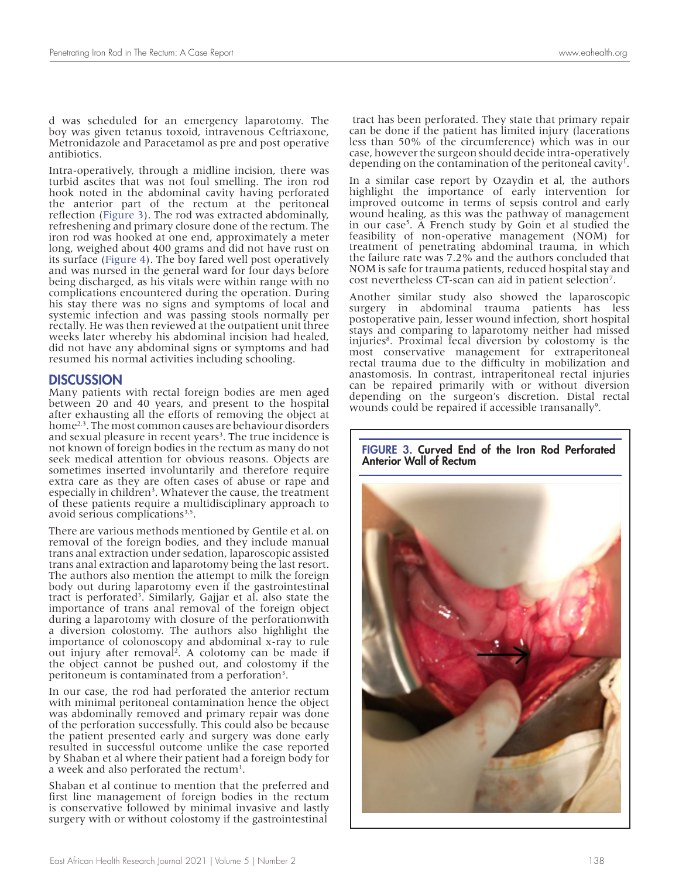d was scheduled for an emergency laparotomy. The boy was given tetanus toxoid, intravenous Ceftriaxone, Metronidazole and Paracetamol as pre and post operative antibiotics.

Intra-operatively, through a midline incision, there was turbid ascites that was not foul smelling. The iron rod hook noted in the abdominal cavity having perforated the anterior part of the rectum at the peritoneal reflection (Figure 3). The rod was extracted abdominally, refreshening and primary closure done of the rectum. The iron rod was hooked at one end, approximately a meter long, weighed about 400 grams and did not have rust on its surface (Figure 4). The boy fared well post operatively and was nursed in the general ward for four days before being discharged, as his vitals were within range with no complications encountered during the operation. During his stay there was no signs and symptoms of local and systemic infection and was passing stools normally per rectally. He was then reviewed at the outpatient unit three weeks later whereby his abdominal incision had healed, did not have any abdominal signs or symptoms and had resumed his normal activities including schooling.

#### DISCUSSION

Many patients with rectal foreign bodies are men aged between 20 and 40 years, and present to the hospital after exhausting all the efforts of removing the object at home<sup>2,3</sup>. The most common causes are behaviour disorders and sexual pleasure in recent years<sup>3</sup>. The true incidence is not known of foreign bodies in the rectum as many do not seek medical attention for obvious reasons. Objects are sometimes inserted involuntarily and therefore require extra care as they are often cases of abuse or rape and especially in children<sup>3</sup>. Whatever the cause, the treatment of these patients require a multidisciplinary approach to avoid serious complications<sup>3,5</sup>.

There are various methods mentioned by Gentile et al. on removal of the foreign bodies, and they include manual trans anal extraction under sedation, laparoscopic assisted trans anal extraction and laparotomy being the last resort. The authors also mention the attempt to milk the foreign body out during laparotomy even if the gastrointestinal tract is perforated<sup>3</sup>. Similarly, Gajjar et al. also state the importance of trans anal removal of the foreign object during a laparotomy with closure of the perforationwith a diversion colostomy. The authors also highlight the importance of colonoscopy and abdominal x-ray to rule out injury after removal<sup>2</sup>. A colotomy can be made if the object cannot be pushed out, and colostomy if the peritoneum is contaminated from a perforation<sup>3</sup>.

In our case, the rod had perforated the anterior rectum with minimal peritoneal contamination hence the object was abdominally removed and primary repair was done of the perforation successfully. This could also be because the patient presented early and surgery was done early resulted in successful outcome unlike the case reported by Shaban et al where their patient had a foreign body for a week and also perforated the rectum<sup>1</sup>.

Shaban et al continue to mention that the preferred and first line management of foreign bodies in the rectum is conservative followed by minimal invasive and lastly surgery with or without colostomy if the gastrointestinal

 tract has been perforated. They state that primary repair can be done if the patient has limited injury (lacerations less than 50% of the circumference) which was in our case, however the surgeon should decide intra-operatively depending on the contamination of the peritoneal cavity<sup>1</sup>.

In a similar case report by Ozaydin et al, the authors highlight the importance of early intervention for improved outcome in terms of sepsis control and early wound healing, as this was the pathway of management in our case5 . A French study by Goin et al studied the feasibility of non-operative management (NOM) for treatment of penetrating abdominal trauma, in which the failure rate was 7.2% and the authors concluded that NOM is safe for trauma patients, reduced hospital stay and cost nevertheless CT-scan can aid in patient selection<sup>7</sup>.

Another similar study also showed the laparoscopic surgery in abdominal trauma patients has less postoperative pain, lesser wound infection, short hospital stays and comparing to laparotomy neither had missed injuries8 . Proximal fecal diversion by colostomy is the most conservative management for extraperitoneal rectal trauma due to the difficulty in mobilization and anastomosis. In contrast, intraperitoneal rectal injuries can be repaired primarily with or without diversion depending on the surgeon's discretion. Distal rectal wounds could be repaired if accessible transanally<sup>9</sup>.



#### FIGURE 3. Curved End of the Iron Rod Perforated Anterior Wall of Rectum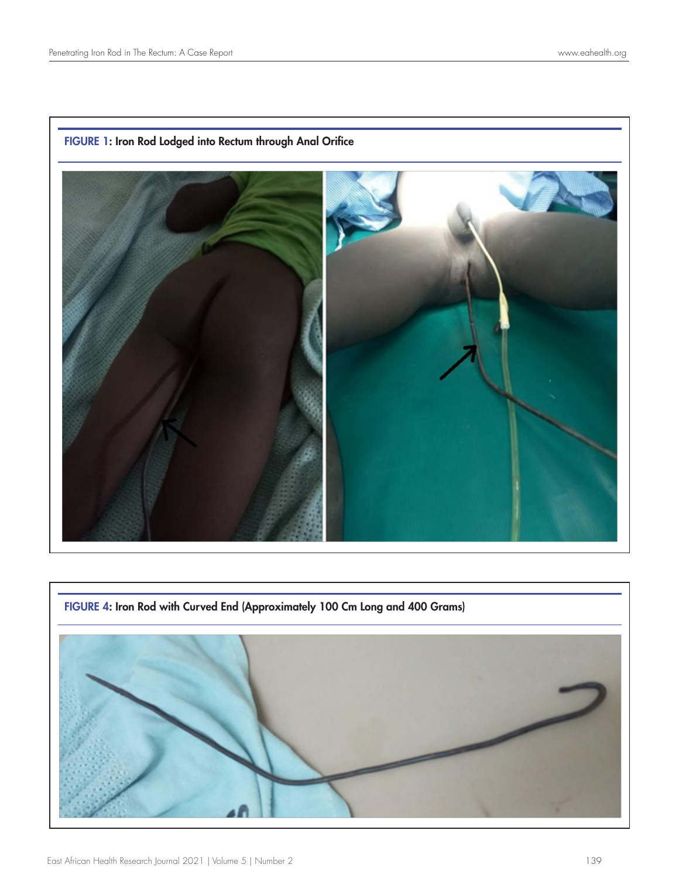

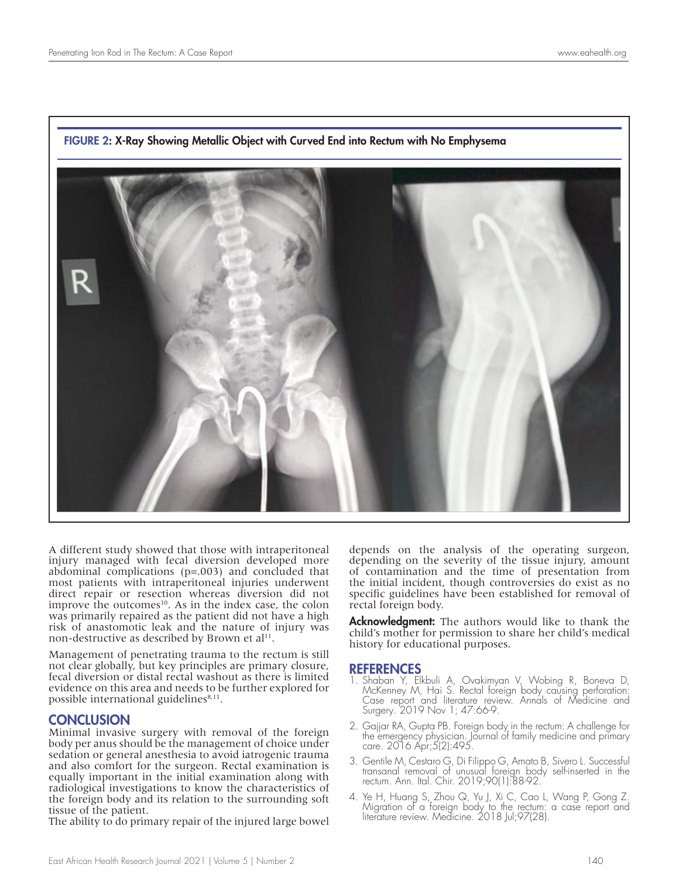

#### FIGURE 2: X-Ray Showing Metallic Object with Curved End into Rectum with No Emphysema

A different study showed that those with intraperitoneal injury managed with fecal diversion developed more abdominal complications (p=.003) and concluded that most patients with intraperitoneal injuries underwent direct repair or resection whereas diversion did not improve the outcomes<sup>10</sup>. As in the index case, the colon was primarily repaired as the patient did not have a high risk of anastomotic leak and the nature of injury was non-destructive as described by Brown et al<sup>11</sup>.

Management of penetrating trauma to the rectum is still not clear globally, but key principles are primary closure, fecal diversion or distal rectal washout as there is limited evidence on this area and needs to be further explored for possible international guidelines $8,11$ .

#### **CONCLUSION**

Minimal invasive surgery with removal of the foreign body per anus should be the management of choice under sedation or general anesthesia to avoid iatrogenic trauma and also comfort for the surgeon. Rectal examination is equally important in the initial examination along with radiological investigations to know the characteristics of the foreign body and its relation to the surrounding soft tissue of the patient.

The ability to do primary repair of the injured large bowel

depends on the analysis of the operating surgeon, depending on the severity of the tissue injury, amount of contamination and the time of presentation from the initial incident, though controversies do exist as no specific guidelines have been established for removal of rectal foreign body.

**Acknowledgment:** The authors would like to thank the child's mother for permission to share her child's medical history for educational purposes.

#### **REFERENCES**

- 1. Shaban Y, Elkbuli A, Ovakimyan V, Wobing R, Boneva D, McKenney M, Hai S. Rectal foreign body causing perforation: Case report and literature review. Annals of Medicine and Surgery. 2019 Nov 1; 47:66-9.
- 2. Gajjar RA, Gupta PB. Foreign body in the rectum: A challenge for the emergency physician. Journal of family medicine and primary care. 2016 Apr;5(2):495.
- 3. Gentile M, Cestaro G, Di Filippo G, Amato B, Sivero L. Successful transanal removal of unusual foreign body self-inserted in the rectum. Ann. Ital. Chir. 2019;90(1):88-92.
- 4. Ye H, Huang S, Zhou Q, Yu J, Xi C, Cao L, Wang P, Gong Z. Migration of a foreign body to the rectum: a case report and literature review. Medicine. 2018 Jul;97(28).